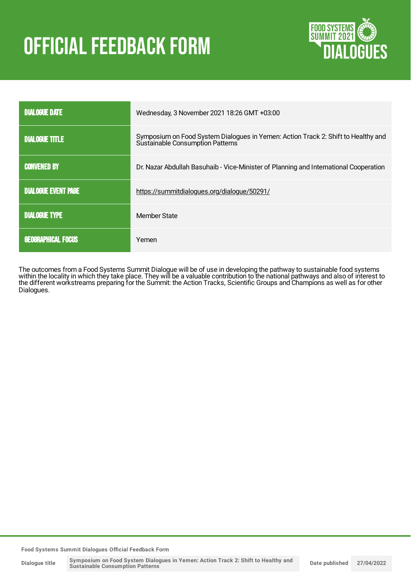# **OFFICIAL FEEDBACK FORM**



| <b>DIALOGUE DATE</b>       | Wednesday, 3 November 2021 18:26 GMT +03:00                                                                           |
|----------------------------|-----------------------------------------------------------------------------------------------------------------------|
| <b>DIALOGUE TITLE</b>      | Symposium on Food System Dialogues in Yemen: Action Track 2: Shift to Healthy and<br>Sustainable Consumption Patterns |
| <b>CONVENED BY</b>         | Dr. Nazar Abdullah Basuhaib - Vice-Minister of Planning and International Cooperation                                 |
| <b>DIALOGUE EVENT PAGE</b> | https://summitdialogues.org/dialogue/50291/                                                                           |
| <b>DIALOGUE TYPE</b>       | Member State                                                                                                          |
| <b>GEOGRAPHICAL FOCUS</b>  | Yemen                                                                                                                 |

The outcomes from a Food Systems Summit Dialogue will be of use in developing the pathway to sustainable food systems within the locality in which they take place. They will be a valuable contribution to the national pathways and also of interest to the different workstreams preparing for the Summit: the Action Tracks, Scientific Groups and Champions as well as for other Dialogues.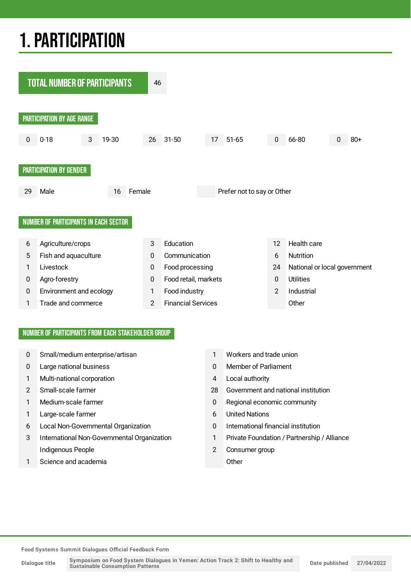## 1.PARTICIPATION



#### NUMBER OF PARTICIPANTS FROM EACH STAKEHOLDER GROUP

- 0 Small/medium enterprise/artisan 1 Workers and trade union
- 
- 1 Multi-national corporation 4 Local authority
- 
- 
- 1 Large-scale farmer 6 United Nations
- 6 Local Non-Governmental Organization 0 International financial institution
- 3 International Non-Governmental Organization 1 Private Foundation / Partnership / Alliance Indigenous People 2 Consumer group
- 1 Science and academia **Communist Communist Communist Communist Communist Communist Communist Communist Communist Communist Communist Communist Communist Communist Communist Communist Communist Communist Communist Communis**
- 
- 0 Large national business 0 Member of Parliament
	-
- 2 Small-scale farmer 28 Government and national institution
- 1 Medium-scale farmer 1 Medium-scale farmer 1 Regional economic community
	-
	-
	-
	-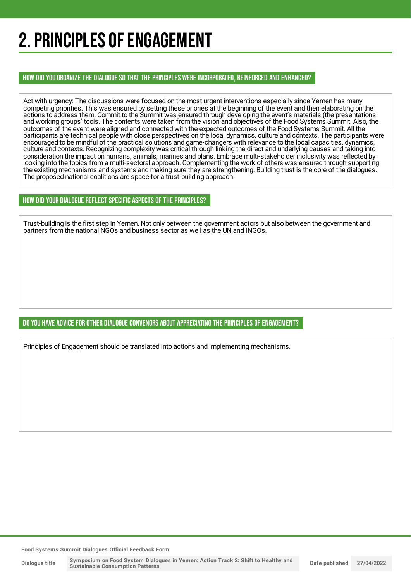## 2. PRINCIPLES OF ENGAGEMENT

HOW DID YOU ORGANIZE THE DIALOGUE SO THAT THE PRINCIPLES WERE INCORPORATED, REINFORCED AND ENHANCED?

Act with urgency: The discussions were focused on the most urgent interventions especially since Yemen has many competing priorities. This was ensured by setting these priories at the beginning of the event and then elaborating on the actions to address them. Commit to the Summit was ensured through developing the event's materials (the presentations and working groups' tools. The contents were taken from the vision and objectives of the Food Systems Summit. Also, the outcomes of the event were aligned and connected with the expected outcomes of the Food Systems Summit. All the participants are technical people with close perspectives on the local dynamics, culture and contexts. The participants were encouraged to be mindful of the practical solutions and game-changers with relevance to the local capacities, dynamics, culture and contexts. Recognizing complexity was critical through linking the direct and underlying causes and taking into consideration the impact on humans, animals, marines and plans. Embrace multi-stakeholder inclusivity was reflected by looking into the topics from a multi-sectoral approach. Complementing the work of others was ensured through supporting the existing mechanisms and systems and making sure they are strengthening. Building trust is the core of the dialogues. The proposed national coalitions are space for a trust-building approach.

#### HOW DID YOUR DIALOGUE REFLECT SPECIFIC ASPECTS OF THE PRINCIPLES?

Trust-building is the first step in Yemen. Not only between the government actors but also between the government and partners from the national NGOs and business sector as well as the UN and INGOs.

#### DO YOU HAVE ADVICE FOR OTHER DIALOGUE CONVENORS ABOUT APPRECIATINGTHE PRINCIPLES OF ENGAGEMENT?

Principles of Engagement should be translated into actions and implementing mechanisms.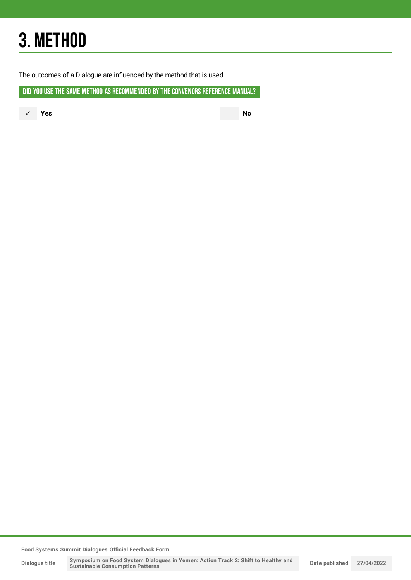## 3. METHOD

The outcomes of a Dialogue are influenced by the method that is used.

DID YOU USE THE SAME METHOD AS RECOMMENDED BY THE CONVENORS REFERENCE MANUAL?

✓ **Yes No**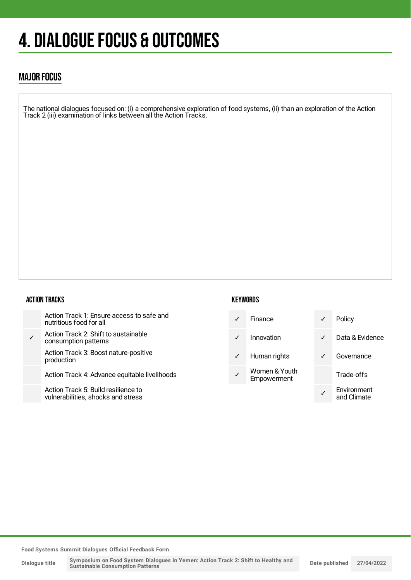## 4. DIALOGUE FOCUS & OUTCOMES

### MAJOR FOCUS

The national dialogues focused on: (i) a comprehensive exploration of food systems, (ii) than an exploration of the Action Track 2 (iii) examination of links between all the Action Tracks.

#### ACTION TRACKS

| Action Track 1: Ensure access to safe and<br>nutritious food for all      |
|---------------------------------------------------------------------------|
| Action Track 2: Shift to sustainable<br>consumption patterns              |
| Action Track 3: Boost nature-positive<br>production                       |
| Action Track 4: Advance equitable livelihoods                             |
| Action Track 5: Build resilience to<br>vulnerabilities, shocks and stress |

#### **KEYWORDS**

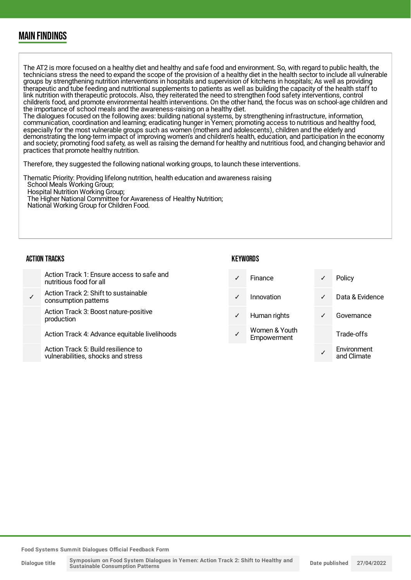### MAIN FINDINGS

The AT2 is more focused on a healthy diet and healthy and safe food and environment. So, with regard to public health, the technicians stress the need to expand the scope of the provision of a healthy diet in the health sector to include all vulnerable groups by strengthening nutrition interventions in hospitals and supervision of kitchens in hospitals; As well as providing therapeutic and tube feeding and nutritional supplements to patients as well as building the capacity of the health staff to link nutrition with therapeutic protocols. Also, they reiterated the need to strengthen food safety interventions, control children's food, and promote environmental health interventions. On the other hand, the focus was on school-age children and the importance of school meals and the awareness-raising on a healthy diet.

The dialogues focused on the following axes: building national systems, by strengthening infrastructure, information, communication, coordination and learning; eradicating hunger in Yemen; promoting access to nutritious and healthy food, especially for the most vulnerable groups such as women (mothers and adolescents), children and the elderly and demonstrating the long-term impact of improving women's and children's health, education, and participation in the economy and society; promoting food safety, as well as raising the demand for healthy and nutritious food, and changing behavior and practices that promote healthy nutrition.

Therefore, they suggested the following national working groups, to launch these interventions.

Thematic Priority: Providing lifelong nutrition, health education and awareness raising School Meals Working Group; Hospital Nutrition Working Group; The Higher National Committee for Awareness of Healthy Nutrition; National Working Group for Children Food.

#### ACTION TRACKS

#### **KEYWORDS**

and Climate

Action Track 1: Ensure access to safe and nutritious food for all ✓ Action Track 2: Shift to sustainable consumption patterns Action Track 3: Boost nature-positive production Action Track 4: Advance equitable livelihoods Action Track 5: Build resilience to Finance **v** Policy ✓ Innovation ✓ Data & Evidence Human rights **v** Governance Women & Youth **Empowerment** Trade-offs ✓ **Environment** 

**Food Systems Summit Dialogues Official Feedback Form**

vulnerabilities, shocks and stress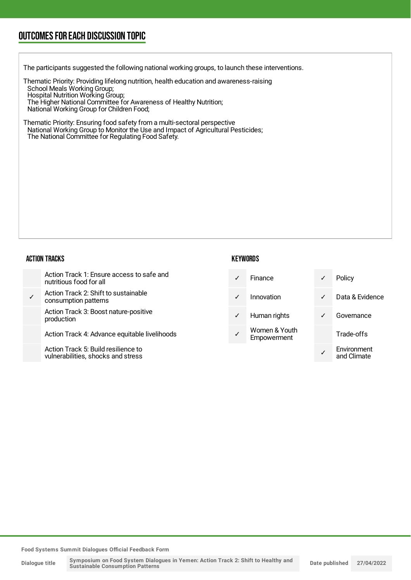### OUTCOMESFOR EACH DISCUSSION TOPIC

The participants suggested the following national working groups, to launch these interventions.

Thematic Priority: Providing lifelong nutrition, health education and awareness-raising School Meals Working Group; Hospital Nutrition Working Group; The Higher National Committee for Awareness of Healthy Nutrition; National Working Group for Children Food;

Thematic Priority: Ensuring food safety from a multi-sectoral perspective National Working Group to Monitor the Use and Impact of Agricultural Pesticides; The National Committee for Regulating Food Safety.

#### ACTION TRACKS

| Action Track 1: Ensure access to safe and<br>nutritious food for all      | Finance                      | $\checkmark$ | Policy                     |
|---------------------------------------------------------------------------|------------------------------|--------------|----------------------------|
| Action Track 2: Shift to sustainable<br>consumption patterns              | Innovation                   | $\sqrt{2}$   | Data & Evidence            |
| Action Track 3: Boost nature-positive<br>production                       | Human rights                 | $\sqrt{ }$   | Governance                 |
| Action Track 4: Advance equitable livelihoods                             | Women & Youth<br>Empowerment |              | Trade-offs                 |
| Action Track 5: Build resilience to<br>wilnerabilities, shooks and stress |                              |              | Environment<br>and Climato |

**KEYWORDS** 

and Climate

**Food Systems Summit Dialogues Official Feedback Form**

vulnerabilities, shocks and stress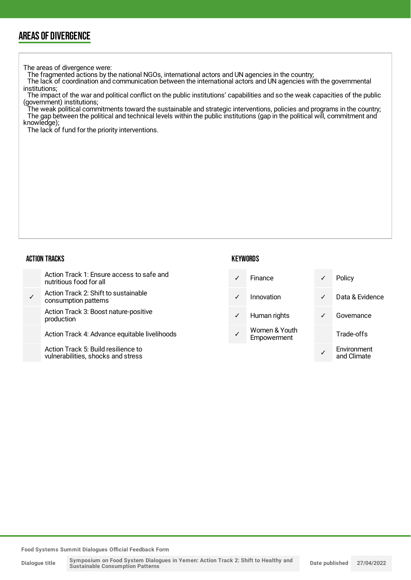### AREAS OF DIVERGENCE

The areas of divergence were:

The fragmented actions by the national NGOs, international actors and UN agencies in the country;

The lack of coordination and communication between the international actors and UN agencies with the governmental institutions;

The impact of the war and political conflict on the public institutions' capabilities and so the weak capacities of the public (government) institutions;

The weak political commitments toward the sustainable and strategic interventions, policies and programs in the country; The gap between the political and technical levels within the public institutions (gap in the political will, commitment and knowledge);

The lack of fund for the priority interventions.

#### ACTION TRACKS

| Action Track 1: Ensure access to safe and<br>nutritious food for all |
|----------------------------------------------------------------------|
|----------------------------------------------------------------------|

✓ Action Track 2: Shift to sustainable consumption patterns

Action Track 3: Boost nature-positive production

Action Track 4: Advance equitable livelihoods

Action Track 5: Build resilience to vulnerabilities, shocks and stress

| KEYWORDS |  |  |  |  |  |  |  |  |
|----------|--|--|--|--|--|--|--|--|
|----------|--|--|--|--|--|--|--|--|

| $\checkmark$ | Finance                      |   | Policy |
|--------------|------------------------------|---|--------|
| $\checkmark$ | Innovation                   |   | Data 8 |
| ✓            | Human rights                 | ✓ | Gover  |
|              | Women & Youth<br>Empowerment |   | Trade- |
|              |                              |   |        |

Data & Evidence Governance Trade-offs

✓ Environment and Climate

**Food Systems Summit Dialogues Official Feedback Form**

**Dialogue title**